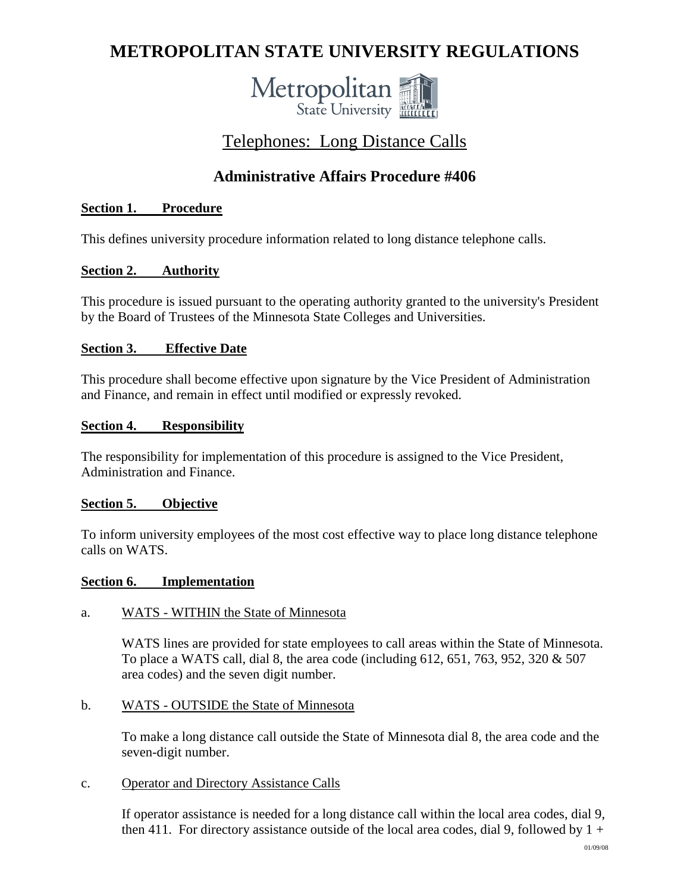# **METROPOLITAN STATE UNIVERSITY REGULATIONS**



# Telephones: Long Distance Calls

# **Administrative Affairs Procedure #406**

# **Section 1. Procedure**

This defines university procedure information related to long distance telephone calls.

# **Section 2. Authority**

This procedure is issued pursuant to the operating authority granted to the university's President by the Board of Trustees of the Minnesota State Colleges and Universities.

## **Section 3. Effective Date**

This procedure shall become effective upon signature by the Vice President of Administration and Finance, and remain in effect until modified or expressly revoked.

## **Section 4. Responsibility**

The responsibility for implementation of this procedure is assigned to the Vice President, Administration and Finance.

# **Section 5. Objective**

To inform university employees of the most cost effective way to place long distance telephone calls on WATS.

#### **Section 6. Implementation**

#### a. WATS - WITHIN the State of Minnesota

WATS lines are provided for state employees to call areas within the State of Minnesota. To place a WATS call, dial 8, the area code (including 612, 651, 763, 952, 320 & 507 area codes) and the seven digit number.

#### b. WATS - OUTSIDE the State of Minnesota

To make a long distance call outside the State of Minnesota dial 8, the area code and the seven-digit number.

#### c. Operator and Directory Assistance Calls

If operator assistance is needed for a long distance call within the local area codes, dial 9, then 411. For directory assistance outside of the local area codes, dial 9, followed by  $1 +$